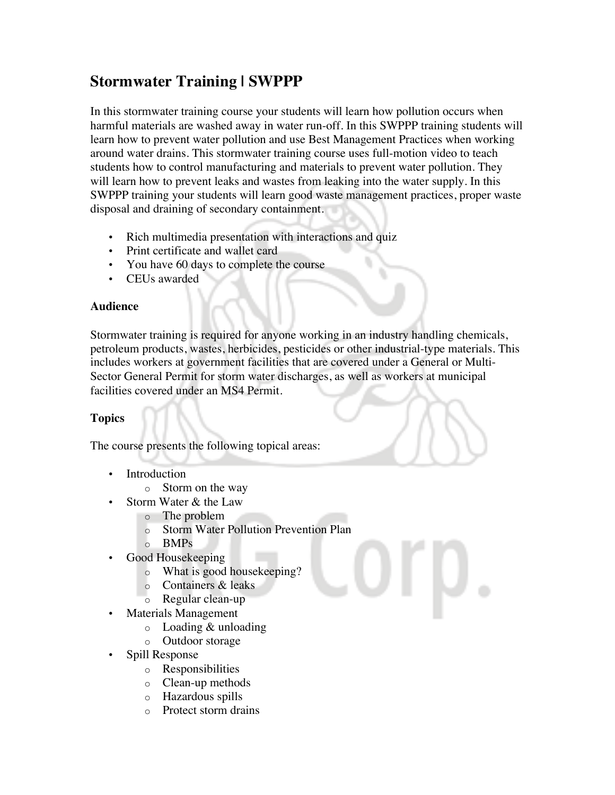## **Stormwater Training | SWPPP**

In this stormwater training course your students will learn how pollution occurs when harmful materials are washed away in water run-off. In this SWPPP training students will learn how to prevent water pollution and use Best Management Practices when working around water drains. This stormwater training course uses full-motion video to teach students how to control manufacturing and materials to prevent water pollution. They will learn how to prevent leaks and wastes from leaking into the water supply. In this SWPPP training your students will learn good waste management practices, proper waste disposal and draining of secondary containment.

- Rich multimedia presentation with interactions and quiz
- Print certificate and wallet card
- You have 60 days to complete the course
- CEUs awarded

## **Audience**

Stormwater training is required for anyone working in an industry handling chemicals, petroleum products, wastes, herbicides, pesticides or other industrial-type materials. This includes workers at government facilities that are covered under a General or Multi-Sector General Permit for storm water discharges, as well as workers at municipal facilities covered under an MS4 Permit.

## **Topics**

The course presents the following topical areas:

- Introduction
	- o Storm on the way
- Storm Water & the Law
	- o The problem
	- o Storm Water Pollution Prevention Plan
	- o BMPs
	- Good Housekeeping
		- o What is good housekeeping?
		- o Containers & leaks
		- o Regular clean-up
- Materials Management
	- o Loading & unloading
	- o Outdoor storage
- Spill Response
	- o Responsibilities
	- o Clean-up methods
	- o Hazardous spills
	- o Protect storm drains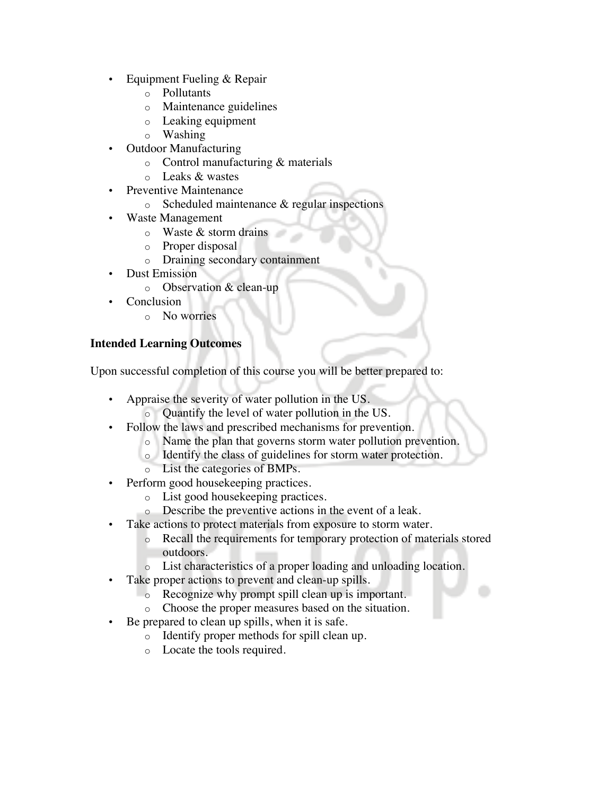- Equipment Fueling & Repair
	- o Pollutants
	- o Maintenance guidelines
	- o Leaking equipment
	- o Washing
- Outdoor Manufacturing
	- o Control manufacturing & materials
	- o Leaks & wastes
- Preventive Maintenance
	- o Scheduled maintenance & regular inspections
- Waste Management
	- o Waste & storm drains
	- o Proper disposal
	- o Draining secondary containment
- Dust Emission
	- o Observation & clean-up
- **Conclusion** 
	- o No worries

## **Intended Learning Outcomes**

Upon successful completion of this course you will be better prepared to:

- Appraise the severity of water pollution in the US. o Quantify the level of water pollution in the US.
	- Follow the laws and prescribed mechanisms for prevention.
		- o Name the plan that governs storm water pollution prevention.
			- o Identify the class of guidelines for storm water protection.
			- o List the categories of BMPs.
- Perform good housekeeping practices.
	- o List good housekeeping practices.
- o Describe the preventive actions in the event of a leak.
- Take actions to protect materials from exposure to storm water.
	- o Recall the requirements for temporary protection of materials stored outdoors.
	- o List characteristics of a proper loading and unloading location.
- Take proper actions to prevent and clean-up spills.
	- o Recognize why prompt spill clean up is important.
	- o Choose the proper measures based on the situation.
- Be prepared to clean up spills, when it is safe.
	- o Identify proper methods for spill clean up.
	- o Locate the tools required.